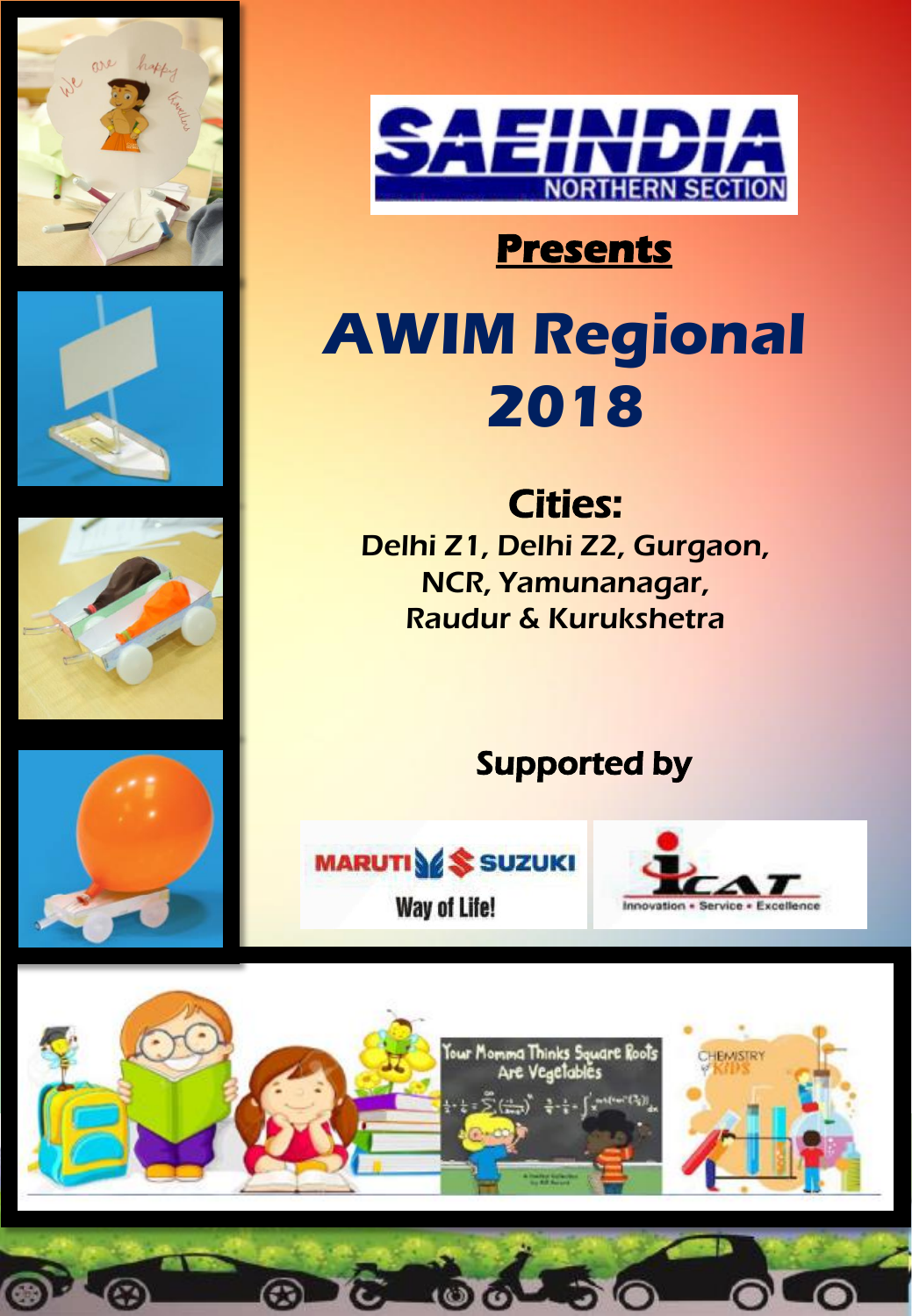







# **Presents**

# **AWIM Regional 2018**

Cities: Delhi Z1, Delhi Z2, Gurgaon, NCR, Yamunanagar, Raudur & Kurukshetra

# Supported by

 $-50$ 



**MARUTIVE** SUZUKI **Way of Life!** 



⋒



 $\bullet$ 

⊛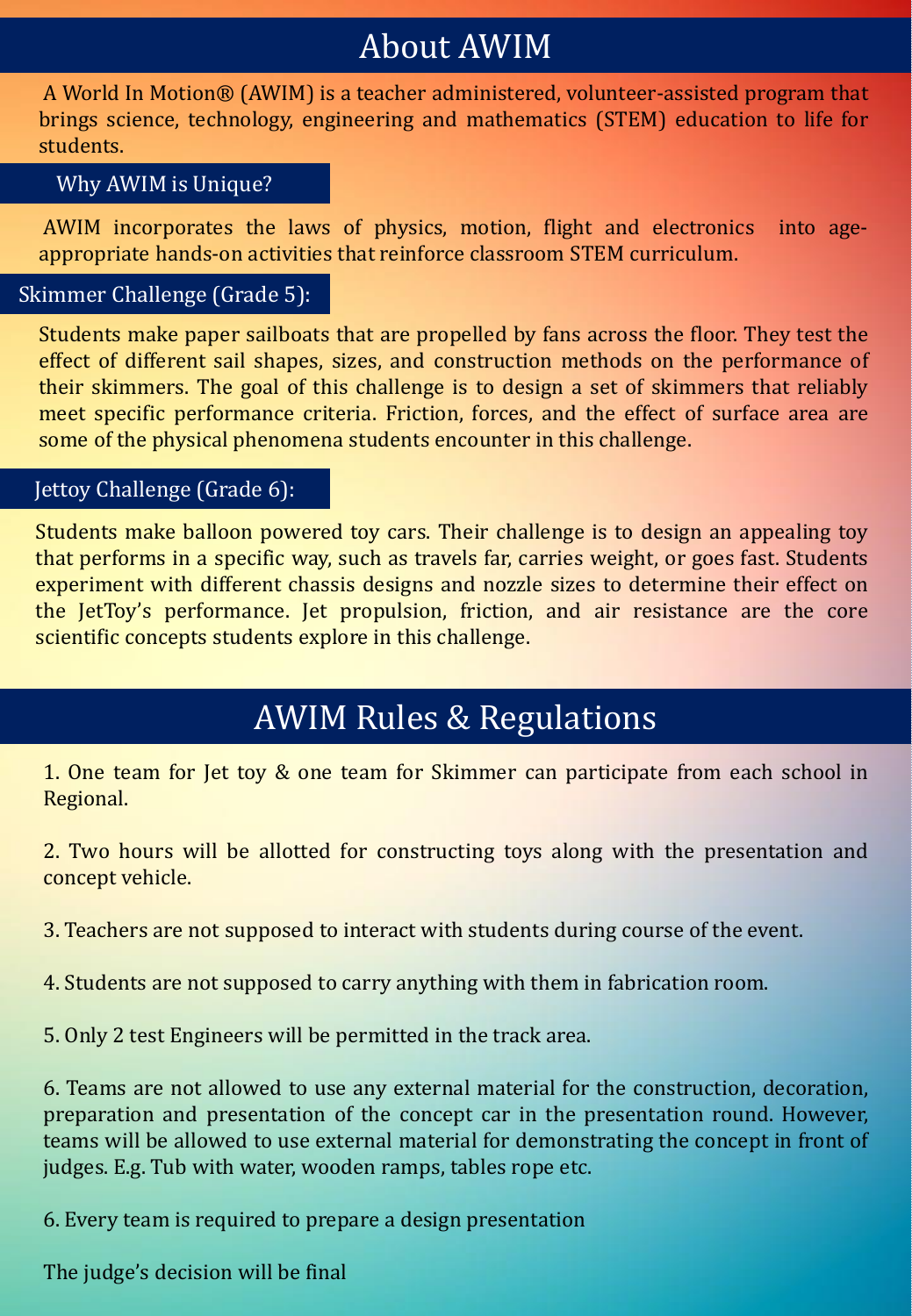# About AWIM

A World In Motion® (AWIM) is a teacher administered, volunteer-assisted program that brings science, technology, engineering and mathematics (STEM) education to life for students.

#### Why AWIM is Unique?

AWIM incorporates the laws of physics, motion, flight and electronics into ageappropriate hands-on activities that reinforce classroom STEM curriculum.

#### Skimmer Challenge (Grade 5):

Students make paper sailboats that are propelled by fans across the floor. They test the effect of different sail shapes, sizes, and construction methods on the performance of their skimmers. The goal of this challenge is to design a set of skimmers that reliably meet specific performance criteria. Friction, forces, and the effect of surface area are some of the physical phenomena students encounter in this challenge.

#### Jettoy Challenge (Grade 6):

Students make balloon powered toy cars. Their challenge is to design an appealing toy that performs in a specific way, such as travels far, carries weight, or goes fast. Students experiment with different chassis designs and nozzle sizes to determine their effect on the JetToy's performance. Jet propulsion, friction, and air resistance are the core scientific concepts students explore in this challenge.

### AWIM Rules & Regulations

1. One team for Jet toy & one team for Skimmer can participate from each school in Regional.

2. Two hours will be allotted for constructing toys along with the presentation and concept vehicle.

3. Teachers are not supposed to interact with students during course of the event.

4. Students are not supposed to carry anything with them in fabrication room.

5. Only 2 test Engineers will be permitted in the track area.

6. Teams are not allowed to use any external material for the construction, decoration, preparation and presentation of the concept car in the presentation round. However, teams will be allowed to use external material for demonstrating the concept in front of judges. E.g. Tub with water, wooden ramps, tables rope etc.

6. Every team is required to prepare a design presentation

The judge's decision will be final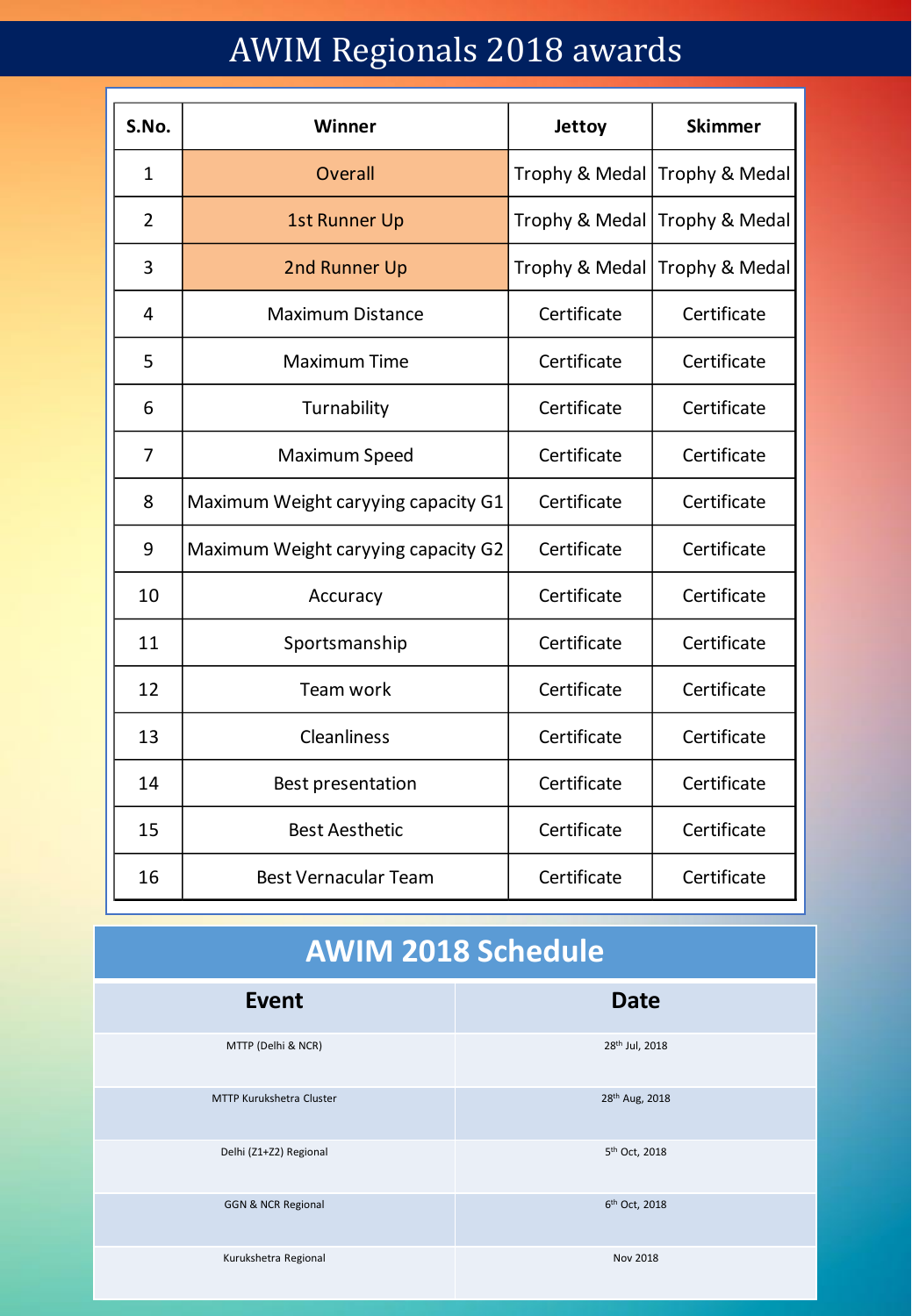# AWIM Regionals 2018 awards

| S.No.          | Winner                              | Jettoy         | <b>Skimmer</b> |
|----------------|-------------------------------------|----------------|----------------|
| 1              | Overall                             | Trophy & Medal | Trophy & Medal |
| $\overline{2}$ | <b>1st Runner Up</b>                | Trophy & Medal | Trophy & Medal |
| 3              | 2nd Runner Up                       | Trophy & Medal | Trophy & Medal |
| 4              | <b>Maximum Distance</b>             | Certificate    | Certificate    |
| 5              | <b>Maximum Time</b>                 | Certificate    | Certificate    |
| 6              | Turnability                         | Certificate    | Certificate    |
| 7              | Maximum Speed                       | Certificate    | Certificate    |
| 8              | Maximum Weight caryying capacity G1 | Certificate    | Certificate    |
| 9              | Maximum Weight caryying capacity G2 | Certificate    | Certificate    |
| 10             | Accuracy                            | Certificate    | Certificate    |
| 11             | Sportsmanship                       | Certificate    | Certificate    |
| 12             | Team work                           | Certificate    | Certificate    |
| 13             | <b>Cleanliness</b>                  | Certificate    | Certificate    |
| 14             | Best presentation                   | Certificate    | Certificate    |
| 15             | <b>Best Aesthetic</b>               | Certificate    | Certificate    |
| 16             | <b>Best Vernacular Team</b>         | Certificate    | Certificate    |

# **AWIM 2018 Schedule**

| <b>Event</b>                    | <b>Date</b>                |
|---------------------------------|----------------------------|
| MTTP (Delhi & NCR)              | 28 <sup>th</sup> Jul, 2018 |
| <b>MTTP Kurukshetra Cluster</b> | 28 <sup>th</sup> Aug, 2018 |
| Delhi (Z1+Z2) Regional          | 5 <sup>th</sup> Oct, 2018  |
| <b>GGN &amp; NCR Regional</b>   | 6 <sup>th</sup> Oct, 2018  |
| Kurukshetra Regional            | Nov 2018                   |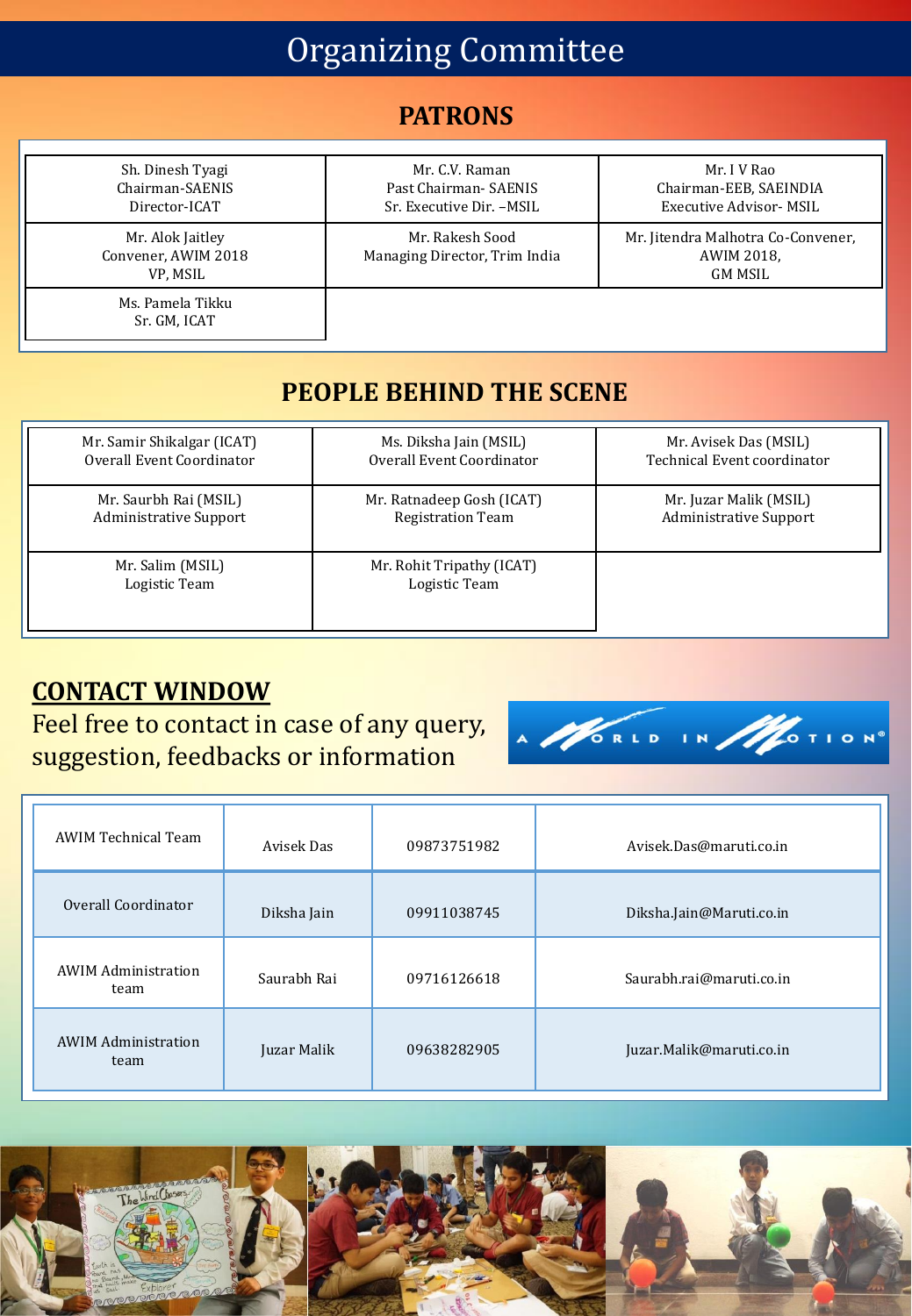# Organizing Committee

### **PATRONS**

| Sh. Dinesh Tyagi<br>Chairman-SAENIS<br>Director-ICAT | Mr. C.V. Raman<br>Past Chairman-SAENIS<br>Sr. Executive Dir. - MSIL | Mr. I V Rao<br>Chairman-EEB, SAEINDIA<br><b>Executive Advisor- MSIL</b>   |
|------------------------------------------------------|---------------------------------------------------------------------|---------------------------------------------------------------------------|
| Mr. Alok Jaitley<br>Convener, AWIM 2018<br>VP, MSIL  | Mr. Rakesh Sood<br>Managing Director, Trim India                    | Mr. Jitendra Malhotra Co-Convener,<br><b>AWIM 2018.</b><br><b>GM MSIL</b> |
| Ms. Pamela Tikku<br>Sr. GM, ICAT                     |                                                                     |                                                                           |

### **PEOPLE BEHIND THE SCENE**

| Mr. Samir Shikalgar (ICAT)        | Ms. Diksha Jain (MSIL)                     | Mr. Avisek Das (MSIL)         |
|-----------------------------------|--------------------------------------------|-------------------------------|
| Overall Event Coordinator         | Overall Event Coordinator                  | Technical Event coordinator   |
| Mr. Saurbh Rai (MSIL)             | Mr. Ratnadeep Gosh (ICAT)                  | Mr. Juzar Malik (MSIL)        |
| <b>Administrative Support</b>     | <b>Registration Team</b>                   | <b>Administrative Support</b> |
| Mr. Salim (MSIL)<br>Logistic Team | Mr. Rohit Tripathy (ICAT)<br>Logistic Team |                               |

### **CONTACT WINDOW**

Feel free to contact in case of any query, suggestion, feedbacks or information



| <b>AWIM Technical Team</b>         | Avisek Das  | 09873751982 | Avisek.Das@maruti.co.in  |
|------------------------------------|-------------|-------------|--------------------------|
| Overall Coordinator                | Diksha Jain | 09911038745 | Diksha.Jain@Maruti.co.in |
| <b>AWIM Administration</b><br>team | Saurabh Rai | 09716126618 | Saurabh.rai@maruti.co.in |
| <b>AWIM Administration</b><br>team | Juzar Malik | 09638282905 | Juzar.Malik@maruti.co.in |

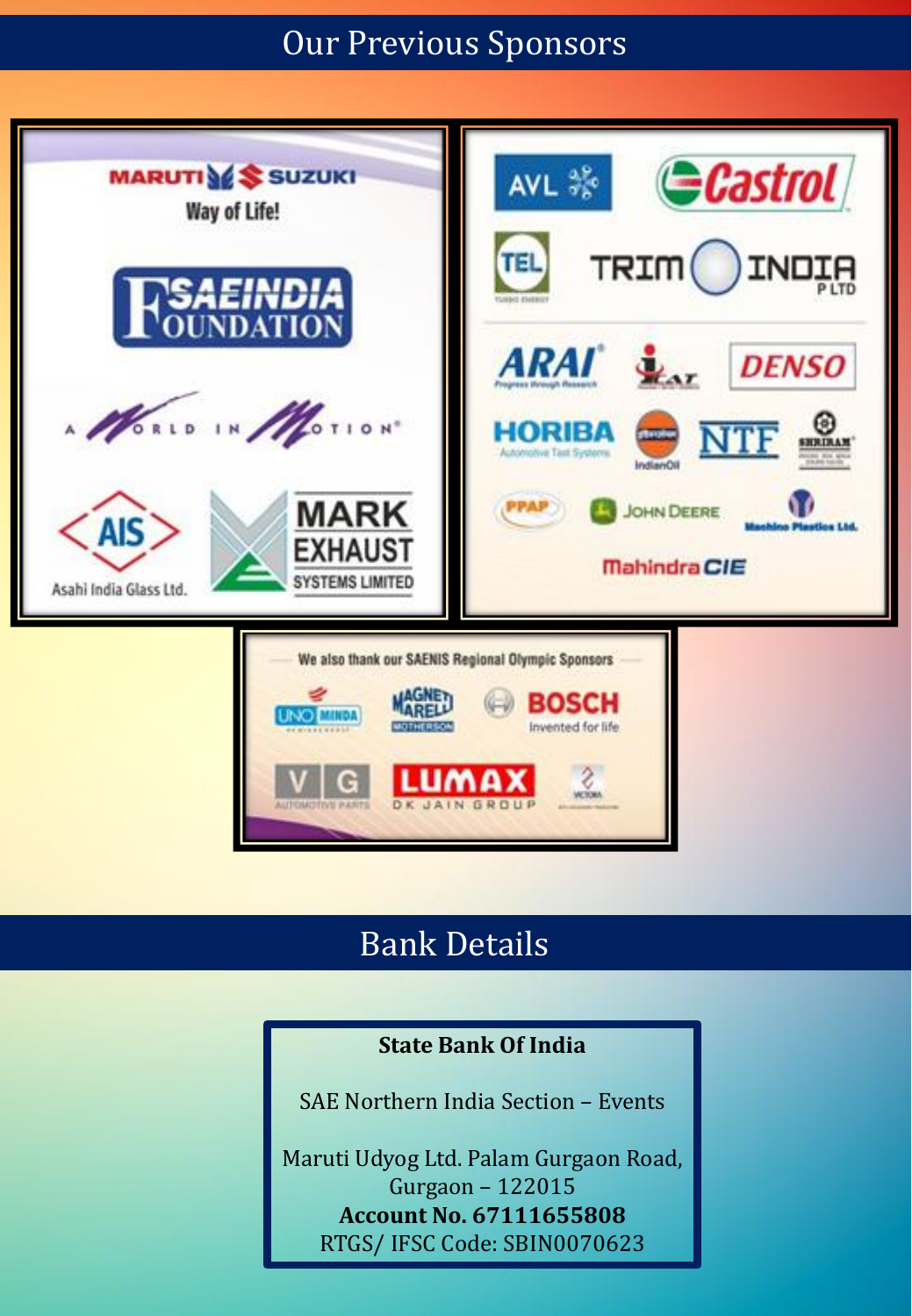### Our Previous Sponsors



# Bank Details

#### **State Bank Of India**

SAE Northern India Section – Events

Maruti Udyog Ltd. Palam Gurgaon Road, Gurgaon – 122015 **Account No. 67111655808** RTGS/ IFSC Code: SBIN0070623